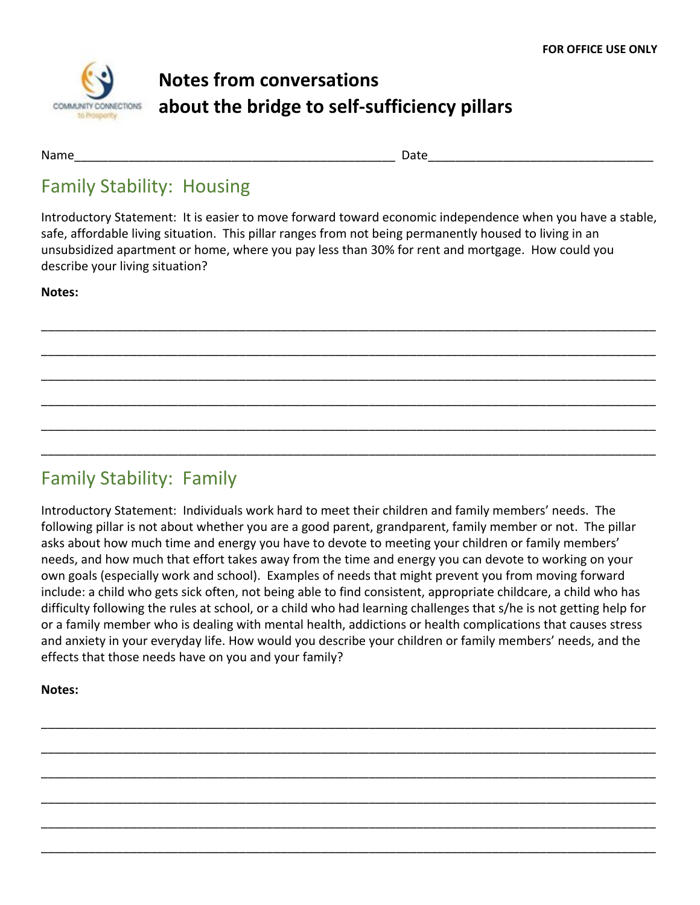

# **Notes from conversations about the bridge to self-sufficiency pillars**

Name that the control of the control of the control of the control of the control of the control of the control of the control of the control of the control of the control of the control of the control of the control of th

#### Family Stability: Housing

Introductory Statement: It is easier to move forward toward economic independence when you have a stable, safe, affordable living situation. This pillar ranges from not being permanently housed to living in an unsubsidized apartment or home, where you pay less than 30% for rent and mortgage. How could you describe your living situation?

\_\_\_\_\_\_\_\_\_\_\_\_\_\_\_\_\_\_\_\_\_\_\_\_\_\_\_\_\_\_\_\_\_\_\_\_\_\_\_\_\_\_\_\_\_\_\_\_\_\_\_\_\_\_\_\_\_\_\_\_\_\_\_\_\_\_\_\_\_\_\_\_\_\_\_\_\_\_\_\_\_\_\_\_\_\_\_\_\_\_

\_\_\_\_\_\_\_\_\_\_\_\_\_\_\_\_\_\_\_\_\_\_\_\_\_\_\_\_\_\_\_\_\_\_\_\_\_\_\_\_\_\_\_\_\_\_\_\_\_\_\_\_\_\_\_\_\_\_\_\_\_\_\_\_\_\_\_\_\_\_\_\_\_\_\_\_\_\_\_\_\_\_\_\_\_\_\_\_\_\_

\_\_\_\_\_\_\_\_\_\_\_\_\_\_\_\_\_\_\_\_\_\_\_\_\_\_\_\_\_\_\_\_\_\_\_\_\_\_\_\_\_\_\_\_\_\_\_\_\_\_\_\_\_\_\_\_\_\_\_\_\_\_\_\_\_\_\_\_\_\_\_\_\_\_\_\_\_\_\_\_\_\_\_\_\_\_\_\_\_\_

\_\_\_\_\_\_\_\_\_\_\_\_\_\_\_\_\_\_\_\_\_\_\_\_\_\_\_\_\_\_\_\_\_\_\_\_\_\_\_\_\_\_\_\_\_\_\_\_\_\_\_\_\_\_\_\_\_\_\_\_\_\_\_\_\_\_\_\_\_\_\_\_\_\_\_\_\_\_\_\_\_\_\_\_\_\_\_\_\_\_

\_\_\_\_\_\_\_\_\_\_\_\_\_\_\_\_\_\_\_\_\_\_\_\_\_\_\_\_\_\_\_\_\_\_\_\_\_\_\_\_\_\_\_\_\_\_\_\_\_\_\_\_\_\_\_\_\_\_\_\_\_\_\_\_\_\_\_\_\_\_\_\_\_\_\_\_\_\_\_\_\_\_\_\_\_\_\_\_\_\_

\_\_\_\_\_\_\_\_\_\_\_\_\_\_\_\_\_\_\_\_\_\_\_\_\_\_\_\_\_\_\_\_\_\_\_\_\_\_\_\_\_\_\_\_\_\_\_\_\_\_\_\_\_\_\_\_\_\_\_\_\_\_\_\_\_\_\_\_\_\_\_\_\_\_\_\_\_\_\_\_\_\_\_\_\_\_\_\_\_\_

**Notes:**

## Family Stability: Family

Introductory Statement: Individuals work hard to meet their children and family members' needs. The following pillar is not about whether you are a good parent, grandparent, family member or not. The pillar asks about how much time and energy you have to devote to meeting your children or family members' needs, and how much that effort takes away from the time and energy you can devote to working on your own goals (especially work and school). Examples of needs that might prevent you from moving forward include: a child who gets sick often, not being able to find consistent, appropriate childcare, a child who has difficulty following the rules at school, or a child who had learning challenges that s/he is not getting help for or a family member who is dealing with mental health, addictions or health complications that causes stress and anxiety in your everyday life. How would you describe your children or family members' needs, and the effects that those needs have on you and your family?

\_\_\_\_\_\_\_\_\_\_\_\_\_\_\_\_\_\_\_\_\_\_\_\_\_\_\_\_\_\_\_\_\_\_\_\_\_\_\_\_\_\_\_\_\_\_\_\_\_\_\_\_\_\_\_\_\_\_\_\_\_\_\_\_\_\_\_\_\_\_\_\_\_\_\_\_\_\_\_\_\_\_\_\_\_\_\_\_\_\_

\_\_\_\_\_\_\_\_\_\_\_\_\_\_\_\_\_\_\_\_\_\_\_\_\_\_\_\_\_\_\_\_\_\_\_\_\_\_\_\_\_\_\_\_\_\_\_\_\_\_\_\_\_\_\_\_\_\_\_\_\_\_\_\_\_\_\_\_\_\_\_\_\_\_\_\_\_\_\_\_\_\_\_\_\_\_\_\_\_\_

\_\_\_\_\_\_\_\_\_\_\_\_\_\_\_\_\_\_\_\_\_\_\_\_\_\_\_\_\_\_\_\_\_\_\_\_\_\_\_\_\_\_\_\_\_\_\_\_\_\_\_\_\_\_\_\_\_\_\_\_\_\_\_\_\_\_\_\_\_\_\_\_\_\_\_\_\_\_\_\_\_\_\_\_\_\_\_\_\_\_

\_\_\_\_\_\_\_\_\_\_\_\_\_\_\_\_\_\_\_\_\_\_\_\_\_\_\_\_\_\_\_\_\_\_\_\_\_\_\_\_\_\_\_\_\_\_\_\_\_\_\_\_\_\_\_\_\_\_\_\_\_\_\_\_\_\_\_\_\_\_\_\_\_\_\_\_\_\_\_\_\_\_\_\_\_\_\_\_\_\_

\_\_\_\_\_\_\_\_\_\_\_\_\_\_\_\_\_\_\_\_\_\_\_\_\_\_\_\_\_\_\_\_\_\_\_\_\_\_\_\_\_\_\_\_\_\_\_\_\_\_\_\_\_\_\_\_\_\_\_\_\_\_\_\_\_\_\_\_\_\_\_\_\_\_\_\_\_\_\_\_\_\_\_\_\_\_\_\_\_\_

\_\_\_\_\_\_\_\_\_\_\_\_\_\_\_\_\_\_\_\_\_\_\_\_\_\_\_\_\_\_\_\_\_\_\_\_\_\_\_\_\_\_\_\_\_\_\_\_\_\_\_\_\_\_\_\_\_\_\_\_\_\_\_\_\_\_\_\_\_\_\_\_\_\_\_\_\_\_\_\_\_\_\_\_\_\_\_\_\_\_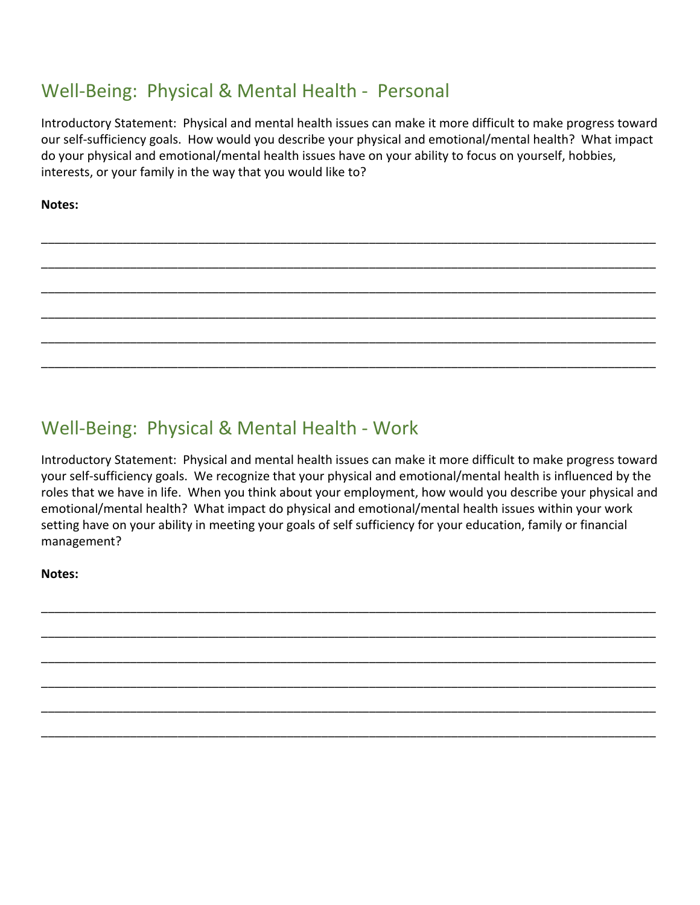### Well-Being: Physical & Mental Health - Personal

Introductory Statement: Physical and mental health issues can make it more difficult to make progress toward our self-sufficiency goals. How would you describe your physical and emotional/mental health? What impact do your physical and emotional/mental health issues have on your ability to focus on yourself, hobbies, interests, or your family in the way that you would like to?

\_\_\_\_\_\_\_\_\_\_\_\_\_\_\_\_\_\_\_\_\_\_\_\_\_\_\_\_\_\_\_\_\_\_\_\_\_\_\_\_\_\_\_\_\_\_\_\_\_\_\_\_\_\_\_\_\_\_\_\_\_\_\_\_\_\_\_\_\_\_\_\_\_\_\_\_\_\_\_\_\_\_\_\_\_\_\_\_\_\_

\_\_\_\_\_\_\_\_\_\_\_\_\_\_\_\_\_\_\_\_\_\_\_\_\_\_\_\_\_\_\_\_\_\_\_\_\_\_\_\_\_\_\_\_\_\_\_\_\_\_\_\_\_\_\_\_\_\_\_\_\_\_\_\_\_\_\_\_\_\_\_\_\_\_\_\_\_\_\_\_\_\_\_\_\_\_\_\_\_\_

\_\_\_\_\_\_\_\_\_\_\_\_\_\_\_\_\_\_\_\_\_\_\_\_\_\_\_\_\_\_\_\_\_\_\_\_\_\_\_\_\_\_\_\_\_\_\_\_\_\_\_\_\_\_\_\_\_\_\_\_\_\_\_\_\_\_\_\_\_\_\_\_\_\_\_\_\_\_\_\_\_\_\_\_\_\_\_\_\_\_

\_\_\_\_\_\_\_\_\_\_\_\_\_\_\_\_\_\_\_\_\_\_\_\_\_\_\_\_\_\_\_\_\_\_\_\_\_\_\_\_\_\_\_\_\_\_\_\_\_\_\_\_\_\_\_\_\_\_\_\_\_\_\_\_\_\_\_\_\_\_\_\_\_\_\_\_\_\_\_\_\_\_\_\_\_\_\_\_\_\_

\_\_\_\_\_\_\_\_\_\_\_\_\_\_\_\_\_\_\_\_\_\_\_\_\_\_\_\_\_\_\_\_\_\_\_\_\_\_\_\_\_\_\_\_\_\_\_\_\_\_\_\_\_\_\_\_\_\_\_\_\_\_\_\_\_\_\_\_\_\_\_\_\_\_\_\_\_\_\_\_\_\_\_\_\_\_\_\_\_\_

\_\_\_\_\_\_\_\_\_\_\_\_\_\_\_\_\_\_\_\_\_\_\_\_\_\_\_\_\_\_\_\_\_\_\_\_\_\_\_\_\_\_\_\_\_\_\_\_\_\_\_\_\_\_\_\_\_\_\_\_\_\_\_\_\_\_\_\_\_\_\_\_\_\_\_\_\_\_\_\_\_\_\_\_\_\_\_\_\_\_

**Notes:**

## Well-Being: Physical & Mental Health - Work

Introductory Statement: Physical and mental health issues can make it more difficult to make progress toward your self-sufficiency goals. We recognize that your physical and emotional/mental health is influenced by the roles that we have in life. When you think about your employment, how would you describe your physical and emotional/mental health? What impact do physical and emotional/mental health issues within your work setting have on your ability in meeting your goals of self sufficiency for your education, family or financial management?

\_\_\_\_\_\_\_\_\_\_\_\_\_\_\_\_\_\_\_\_\_\_\_\_\_\_\_\_\_\_\_\_\_\_\_\_\_\_\_\_\_\_\_\_\_\_\_\_\_\_\_\_\_\_\_\_\_\_\_\_\_\_\_\_\_\_\_\_\_\_\_\_\_\_\_\_\_\_\_\_\_\_\_\_\_\_\_\_\_\_

\_\_\_\_\_\_\_\_\_\_\_\_\_\_\_\_\_\_\_\_\_\_\_\_\_\_\_\_\_\_\_\_\_\_\_\_\_\_\_\_\_\_\_\_\_\_\_\_\_\_\_\_\_\_\_\_\_\_\_\_\_\_\_\_\_\_\_\_\_\_\_\_\_\_\_\_\_\_\_\_\_\_\_\_\_\_\_\_\_\_

\_\_\_\_\_\_\_\_\_\_\_\_\_\_\_\_\_\_\_\_\_\_\_\_\_\_\_\_\_\_\_\_\_\_\_\_\_\_\_\_\_\_\_\_\_\_\_\_\_\_\_\_\_\_\_\_\_\_\_\_\_\_\_\_\_\_\_\_\_\_\_\_\_\_\_\_\_\_\_\_\_\_\_\_\_\_\_\_\_\_

\_\_\_\_\_\_\_\_\_\_\_\_\_\_\_\_\_\_\_\_\_\_\_\_\_\_\_\_\_\_\_\_\_\_\_\_\_\_\_\_\_\_\_\_\_\_\_\_\_\_\_\_\_\_\_\_\_\_\_\_\_\_\_\_\_\_\_\_\_\_\_\_\_\_\_\_\_\_\_\_\_\_\_\_\_\_\_\_\_\_

\_\_\_\_\_\_\_\_\_\_\_\_\_\_\_\_\_\_\_\_\_\_\_\_\_\_\_\_\_\_\_\_\_\_\_\_\_\_\_\_\_\_\_\_\_\_\_\_\_\_\_\_\_\_\_\_\_\_\_\_\_\_\_\_\_\_\_\_\_\_\_\_\_\_\_\_\_\_\_\_\_\_\_\_\_\_\_\_\_\_

\_\_\_\_\_\_\_\_\_\_\_\_\_\_\_\_\_\_\_\_\_\_\_\_\_\_\_\_\_\_\_\_\_\_\_\_\_\_\_\_\_\_\_\_\_\_\_\_\_\_\_\_\_\_\_\_\_\_\_\_\_\_\_\_\_\_\_\_\_\_\_\_\_\_\_\_\_\_\_\_\_\_\_\_\_\_\_\_\_\_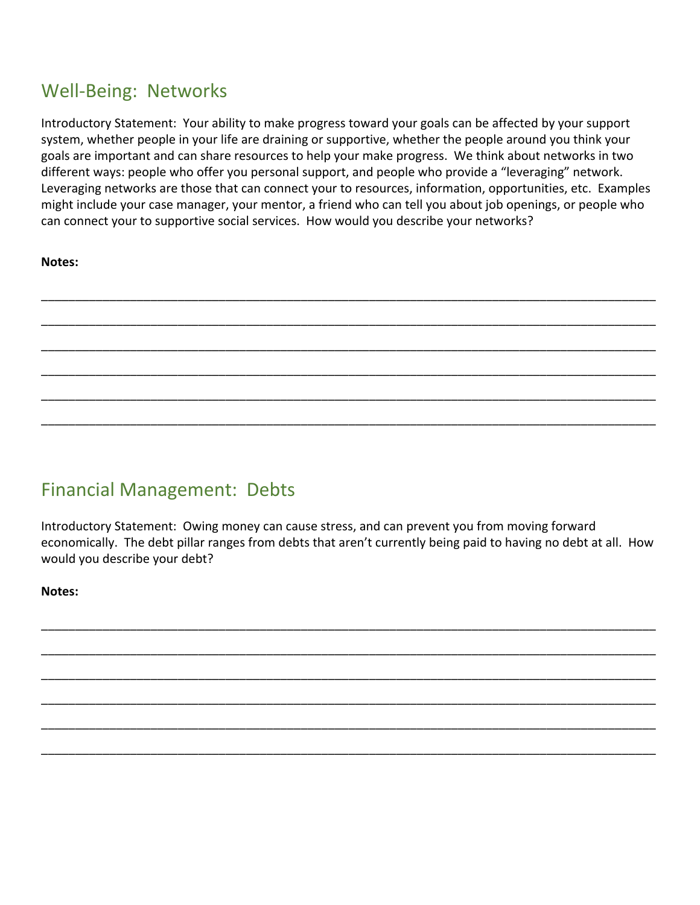#### Well-Being: Networks

Introductory Statement: Your ability to make progress toward your goals can be affected by your support system, whether people in your life are draining or supportive, whether the people around you think your goals are important and can share resources to help your make progress. We think about networks in two different ways: people who offer you personal support, and people who provide a "leveraging" network. Leveraging networks are those that can connect your to resources, information, opportunities, etc. Examples might include your case manager, your mentor, a friend who can tell you about job openings, or people who can connect your to supportive social services. How would you describe your networks?

\_\_\_\_\_\_\_\_\_\_\_\_\_\_\_\_\_\_\_\_\_\_\_\_\_\_\_\_\_\_\_\_\_\_\_\_\_\_\_\_\_\_\_\_\_\_\_\_\_\_\_\_\_\_\_\_\_\_\_\_\_\_\_\_\_\_\_\_\_\_\_\_\_\_\_\_\_\_\_\_\_\_\_\_\_\_\_\_\_\_

\_\_\_\_\_\_\_\_\_\_\_\_\_\_\_\_\_\_\_\_\_\_\_\_\_\_\_\_\_\_\_\_\_\_\_\_\_\_\_\_\_\_\_\_\_\_\_\_\_\_\_\_\_\_\_\_\_\_\_\_\_\_\_\_\_\_\_\_\_\_\_\_\_\_\_\_\_\_\_\_\_\_\_\_\_\_\_\_\_\_

\_\_\_\_\_\_\_\_\_\_\_\_\_\_\_\_\_\_\_\_\_\_\_\_\_\_\_\_\_\_\_\_\_\_\_\_\_\_\_\_\_\_\_\_\_\_\_\_\_\_\_\_\_\_\_\_\_\_\_\_\_\_\_\_\_\_\_\_\_\_\_\_\_\_\_\_\_\_\_\_\_\_\_\_\_\_\_\_\_\_

\_\_\_\_\_\_\_\_\_\_\_\_\_\_\_\_\_\_\_\_\_\_\_\_\_\_\_\_\_\_\_\_\_\_\_\_\_\_\_\_\_\_\_\_\_\_\_\_\_\_\_\_\_\_\_\_\_\_\_\_\_\_\_\_\_\_\_\_\_\_\_\_\_\_\_\_\_\_\_\_\_\_\_\_\_\_\_\_\_\_

\_\_\_\_\_\_\_\_\_\_\_\_\_\_\_\_\_\_\_\_\_\_\_\_\_\_\_\_\_\_\_\_\_\_\_\_\_\_\_\_\_\_\_\_\_\_\_\_\_\_\_\_\_\_\_\_\_\_\_\_\_\_\_\_\_\_\_\_\_\_\_\_\_\_\_\_\_\_\_\_\_\_\_\_\_\_\_\_\_\_

\_\_\_\_\_\_\_\_\_\_\_\_\_\_\_\_\_\_\_\_\_\_\_\_\_\_\_\_\_\_\_\_\_\_\_\_\_\_\_\_\_\_\_\_\_\_\_\_\_\_\_\_\_\_\_\_\_\_\_\_\_\_\_\_\_\_\_\_\_\_\_\_\_\_\_\_\_\_\_\_\_\_\_\_\_\_\_\_\_\_

| I<br>۰.<br>۰.<br>×<br>۰. |
|--------------------------|
|--------------------------|

## Financial Management: Debts

Introductory Statement: Owing money can cause stress, and can prevent you from moving forward economically. The debt pillar ranges from debts that aren't currently being paid to having no debt at all. How would you describe your debt?

\_\_\_\_\_\_\_\_\_\_\_\_\_\_\_\_\_\_\_\_\_\_\_\_\_\_\_\_\_\_\_\_\_\_\_\_\_\_\_\_\_\_\_\_\_\_\_\_\_\_\_\_\_\_\_\_\_\_\_\_\_\_\_\_\_\_\_\_\_\_\_\_\_\_\_\_\_\_\_\_\_\_\_\_\_\_\_\_\_\_

\_\_\_\_\_\_\_\_\_\_\_\_\_\_\_\_\_\_\_\_\_\_\_\_\_\_\_\_\_\_\_\_\_\_\_\_\_\_\_\_\_\_\_\_\_\_\_\_\_\_\_\_\_\_\_\_\_\_\_\_\_\_\_\_\_\_\_\_\_\_\_\_\_\_\_\_\_\_\_\_\_\_\_\_\_\_\_\_\_\_

\_\_\_\_\_\_\_\_\_\_\_\_\_\_\_\_\_\_\_\_\_\_\_\_\_\_\_\_\_\_\_\_\_\_\_\_\_\_\_\_\_\_\_\_\_\_\_\_\_\_\_\_\_\_\_\_\_\_\_\_\_\_\_\_\_\_\_\_\_\_\_\_\_\_\_\_\_\_\_\_\_\_\_\_\_\_\_\_\_\_

\_\_\_\_\_\_\_\_\_\_\_\_\_\_\_\_\_\_\_\_\_\_\_\_\_\_\_\_\_\_\_\_\_\_\_\_\_\_\_\_\_\_\_\_\_\_\_\_\_\_\_\_\_\_\_\_\_\_\_\_\_\_\_\_\_\_\_\_\_\_\_\_\_\_\_\_\_\_\_\_\_\_\_\_\_\_\_\_\_\_

\_\_\_\_\_\_\_\_\_\_\_\_\_\_\_\_\_\_\_\_\_\_\_\_\_\_\_\_\_\_\_\_\_\_\_\_\_\_\_\_\_\_\_\_\_\_\_\_\_\_\_\_\_\_\_\_\_\_\_\_\_\_\_\_\_\_\_\_\_\_\_\_\_\_\_\_\_\_\_\_\_\_\_\_\_\_\_\_\_\_

\_\_\_\_\_\_\_\_\_\_\_\_\_\_\_\_\_\_\_\_\_\_\_\_\_\_\_\_\_\_\_\_\_\_\_\_\_\_\_\_\_\_\_\_\_\_\_\_\_\_\_\_\_\_\_\_\_\_\_\_\_\_\_\_\_\_\_\_\_\_\_\_\_\_\_\_\_\_\_\_\_\_\_\_\_\_\_\_\_\_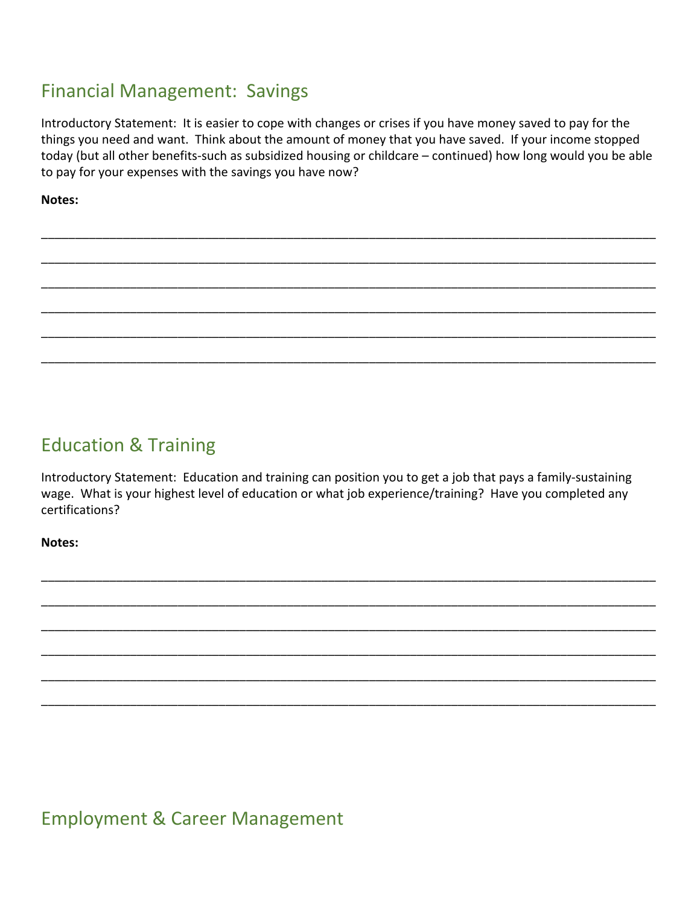### Financial Management: Savings

Introductory Statement: It is easier to cope with changes or crises if you have money saved to pay for the things you need and want. Think about the amount of money that you have saved. If your income stopped today (but all other benefits-such as subsidized housing or childcare – continued) how long would you be able to pay for your expenses with the savings you have now?

\_\_\_\_\_\_\_\_\_\_\_\_\_\_\_\_\_\_\_\_\_\_\_\_\_\_\_\_\_\_\_\_\_\_\_\_\_\_\_\_\_\_\_\_\_\_\_\_\_\_\_\_\_\_\_\_\_\_\_\_\_\_\_\_\_\_\_\_\_\_\_\_\_\_\_\_\_\_\_\_\_\_\_\_\_\_\_\_\_\_

\_\_\_\_\_\_\_\_\_\_\_\_\_\_\_\_\_\_\_\_\_\_\_\_\_\_\_\_\_\_\_\_\_\_\_\_\_\_\_\_\_\_\_\_\_\_\_\_\_\_\_\_\_\_\_\_\_\_\_\_\_\_\_\_\_\_\_\_\_\_\_\_\_\_\_\_\_\_\_\_\_\_\_\_\_\_\_\_\_\_

\_\_\_\_\_\_\_\_\_\_\_\_\_\_\_\_\_\_\_\_\_\_\_\_\_\_\_\_\_\_\_\_\_\_\_\_\_\_\_\_\_\_\_\_\_\_\_\_\_\_\_\_\_\_\_\_\_\_\_\_\_\_\_\_\_\_\_\_\_\_\_\_\_\_\_\_\_\_\_\_\_\_\_\_\_\_\_\_\_\_

\_\_\_\_\_\_\_\_\_\_\_\_\_\_\_\_\_\_\_\_\_\_\_\_\_\_\_\_\_\_\_\_\_\_\_\_\_\_\_\_\_\_\_\_\_\_\_\_\_\_\_\_\_\_\_\_\_\_\_\_\_\_\_\_\_\_\_\_\_\_\_\_\_\_\_\_\_\_\_\_\_\_\_\_\_\_\_\_\_\_

\_\_\_\_\_\_\_\_\_\_\_\_\_\_\_\_\_\_\_\_\_\_\_\_\_\_\_\_\_\_\_\_\_\_\_\_\_\_\_\_\_\_\_\_\_\_\_\_\_\_\_\_\_\_\_\_\_\_\_\_\_\_\_\_\_\_\_\_\_\_\_\_\_\_\_\_\_\_\_\_\_\_\_\_\_\_\_\_\_\_

\_\_\_\_\_\_\_\_\_\_\_\_\_\_\_\_\_\_\_\_\_\_\_\_\_\_\_\_\_\_\_\_\_\_\_\_\_\_\_\_\_\_\_\_\_\_\_\_\_\_\_\_\_\_\_\_\_\_\_\_\_\_\_\_\_\_\_\_\_\_\_\_\_\_\_\_\_\_\_\_\_\_\_\_\_\_\_\_\_\_

**Notes:**

## Education & Training

Introductory Statement: Education and training can position you to get a job that pays a family-sustaining wage. What is your highest level of education or what job experience/training? Have you completed any certifications?

\_\_\_\_\_\_\_\_\_\_\_\_\_\_\_\_\_\_\_\_\_\_\_\_\_\_\_\_\_\_\_\_\_\_\_\_\_\_\_\_\_\_\_\_\_\_\_\_\_\_\_\_\_\_\_\_\_\_\_\_\_\_\_\_\_\_\_\_\_\_\_\_\_\_\_\_\_\_\_\_\_\_\_\_\_\_\_\_\_\_

\_\_\_\_\_\_\_\_\_\_\_\_\_\_\_\_\_\_\_\_\_\_\_\_\_\_\_\_\_\_\_\_\_\_\_\_\_\_\_\_\_\_\_\_\_\_\_\_\_\_\_\_\_\_\_\_\_\_\_\_\_\_\_\_\_\_\_\_\_\_\_\_\_\_\_\_\_\_\_\_\_\_\_\_\_\_\_\_\_\_

\_\_\_\_\_\_\_\_\_\_\_\_\_\_\_\_\_\_\_\_\_\_\_\_\_\_\_\_\_\_\_\_\_\_\_\_\_\_\_\_\_\_\_\_\_\_\_\_\_\_\_\_\_\_\_\_\_\_\_\_\_\_\_\_\_\_\_\_\_\_\_\_\_\_\_\_\_\_\_\_\_\_\_\_\_\_\_\_\_\_

\_\_\_\_\_\_\_\_\_\_\_\_\_\_\_\_\_\_\_\_\_\_\_\_\_\_\_\_\_\_\_\_\_\_\_\_\_\_\_\_\_\_\_\_\_\_\_\_\_\_\_\_\_\_\_\_\_\_\_\_\_\_\_\_\_\_\_\_\_\_\_\_\_\_\_\_\_\_\_\_\_\_\_\_\_\_\_\_\_\_

\_\_\_\_\_\_\_\_\_\_\_\_\_\_\_\_\_\_\_\_\_\_\_\_\_\_\_\_\_\_\_\_\_\_\_\_\_\_\_\_\_\_\_\_\_\_\_\_\_\_\_\_\_\_\_\_\_\_\_\_\_\_\_\_\_\_\_\_\_\_\_\_\_\_\_\_\_\_\_\_\_\_\_\_\_\_\_\_\_\_

\_\_\_\_\_\_\_\_\_\_\_\_\_\_\_\_\_\_\_\_\_\_\_\_\_\_\_\_\_\_\_\_\_\_\_\_\_\_\_\_\_\_\_\_\_\_\_\_\_\_\_\_\_\_\_\_\_\_\_\_\_\_\_\_\_\_\_\_\_\_\_\_\_\_\_\_\_\_\_\_\_\_\_\_\_\_\_\_\_\_

**Notes:**

Employment & Career Management